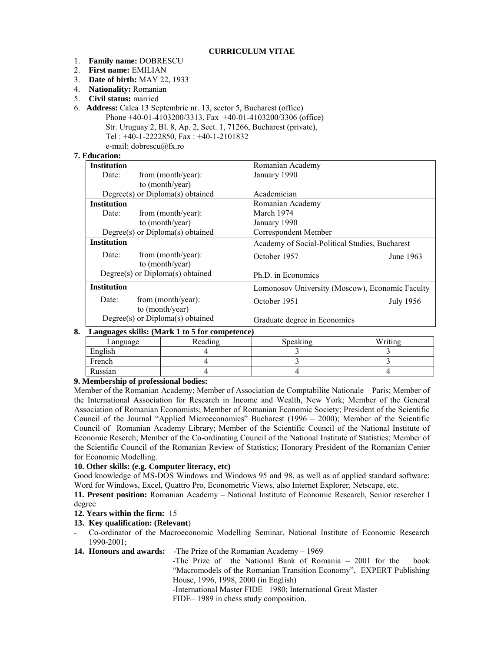#### **CURRICULUM VITAE**

- 1. **Family name:** DOBRESCU
- 2. **First name:** EMILIAN
- 3. **Date of birth:** MAY 22, 1933
- 4. **Nationality:** Romanian
- 5. **Civil status:** married
- 6. **Address:** Calea 13 Septembrie nr. 13, sector 5, Bucharest (office) Phone +40-01-4103200/3313, Fax +40-01-4103200/3306 (office) Str. Uruguay 2, Bl. 8, Ap. 2, Sect. 1, 71266, Bucharest (private), Tel : +40-1-2222850, Fax : +40-1-2101832
	- e-mail: dobrescu@fx.ro

# **7. Education:**

| <b>Institution</b>               |                                       | Romanian Academy                                |                  |
|----------------------------------|---------------------------------------|-------------------------------------------------|------------------|
| Date:                            | from (month/year):                    | January 1990                                    |                  |
|                                  | to (month/year)                       |                                                 |                  |
|                                  | $Degree(s)$ or $Diploma(s)$ obtained  | Academician                                     |                  |
| <b>Institution</b>               |                                       | Romanian Academy                                |                  |
| Date:                            | from (month/year):                    | March 1974                                      |                  |
|                                  | to (month/year)                       | January 1990                                    |                  |
|                                  | $Degree(s)$ or $Diploma(s)$ obtained  | Correspondent Member                            |                  |
| <b>Institution</b>               |                                       | Academy of Social-Political Studies, Bucharest  |                  |
| Date:                            | from (month/year):<br>to (month/year) | October 1957                                    | June 1963        |
|                                  | $Degree(s)$ or $Diploma(s)$ obtained  | Ph.D. in Economics                              |                  |
| <b>Institution</b>               |                                       | Lomonosov University (Moscow), Economic Faculty |                  |
| Date:                            | from (month/year):<br>to (month/year) | October 1951                                    | <b>July 1956</b> |
| Degree(s) or Diploma(s) obtained |                                       | Graduate degree in Economics                    |                  |

## **8. Languages skills: (Mark 1 to 5 for competence)**

| - -<br>Language | Reading | Speaking | Writing |
|-----------------|---------|----------|---------|
| English         |         |          |         |
| French          |         |          |         |
| Russian         |         |          |         |

## **9. Membership of professional bodies:**

Member of the Romanian Academy; Member of Association de Comptabilite Nationale – Paris; Member of the International Association for Research in Income and Wealth, New York; Member of the General Association of Romanian Economists; Member of Romanian Economic Society; President of the Scientific Council of the Journal "Applied Microeconomics" Bucharest (1996 – 2000); Member of the Scientific Council of Romanian Academy Library; Member of the Scientific Council of the National Institute of Economic Reserch; Member of the Co-ordinating Council of the National Institute of Statistics; Member of the Scientific Council of the Romanian Review of Statistics; Honorary President of the Romanian Center for Economic Modelling.

## **10. Other skills: (e.g. Computer literacy, etc)**

Good knowledge of MS-DOS Windows and Windows 95 and 98, as well as of applied standard software: Word for Windows, Excel, Quattro Pro, Econometric Views, also Internet Explorer, Netscape, etc.

**11. Present position:** Romanian Academy – National Institute of Economic Research, Senior resercher I degree

## **12. Years within the firm:** 15

## **13. Key qualification: (Relevant**)

- Co-ordinator of the Macroeconomic Modelling Seminar, National Institute of Economic Research 1990-2001;
- **14. Honours and awards:** -The Prize of the Romanian Academy 1969

-The Prize of the National Bank of Romania – 2001 for the book "Macromodels of the Romanian Transition Economy", EXPERT Publishing House, 1996, 1998, 2000 (in English)

-International Master FIDE– 1980; International Great Master

FIDE– 1989 in chess study composition.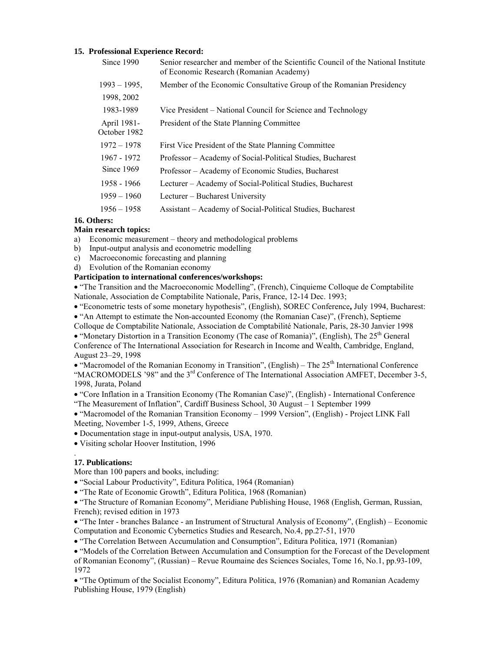#### **15. Professional Experience Record:**

| Since 1990                  | Senior researcher and member of the Scientific Council of the National Institute<br>of Economic Research (Romanian Academy) |  |
|-----------------------------|-----------------------------------------------------------------------------------------------------------------------------|--|
| $1993 - 1995$               | Member of the Economic Consultative Group of the Romanian Presidency                                                        |  |
| 1998, 2002                  |                                                                                                                             |  |
| 1983-1989                   | Vice President – National Council for Science and Technology                                                                |  |
| April 1981-<br>October 1982 | President of the State Planning Committee                                                                                   |  |
| $1972 - 1978$               | First Vice President of the State Planning Committee                                                                        |  |
| 1967 - 1972                 | Professor – Academy of Social-Political Studies, Bucharest                                                                  |  |
| Since $1969$                | Professor – Academy of Economic Studies, Bucharest                                                                          |  |
| 1958 - 1966                 | Lecturer – Academy of Social-Political Studies, Bucharest                                                                   |  |
| $1959 - 1960$               | Lecturer – Bucharest University                                                                                             |  |
| $1956 - 1958$               | Assistant – Academy of Social-Political Studies, Bucharest                                                                  |  |

# **16. Others:**

## **Main research topics:**

- a) Economic measurement theory and methodological problems
- b) Input-output analysis and econometric modelling
- c) Macroeconomic forecasting and planning
- d) Evolution of the Romanian economy

## **Participation to international conferences/workshops:**

• "The Transition and the Macroeconomic Modelling", (French), Cinquieme Colloque de Comptabilite Nationale, Association de Comptabilite Nationale, Paris, France, 12-14 Dec. 1993;

• "Econometric tests of some monetary hypothesis", (English), SOREC Conference**,** July 1994, Bucharest:

• "An Attempt to estimate the Non-accounted Economy (the Romanian Case)", (French), Septieme

Colloque de Comptabilite Nationale, Association de Comptabilité Nationale, Paris, 28-30 Janvier 1998 • "Monetary Distortion in a Transition Economy (The case of Romania)", (English), The  $25<sup>th</sup>$  General Conference of The International Association for Research in Income and Wealth, Cambridge, England,

August 23–29, 1998

• "Macromodel of the Romanian Economy in Transition", (English) – The  $25<sup>th</sup>$  International Conference "MACROMODELS '98" and the  $3<sup>rd</sup>$  Conference of The International Association AMFET, December 3-5, 1998, Jurata, Poland

• "Core Inflation in a Transition Economy (The Romanian Case)", (English) - International Conference "The Measurement of Inflation", Cardiff Business School, 30 August – 1 September 1999

• "Macromodel of the Romanian Transition Economy – 1999 Version", (English) - Project LINK Fall Meeting, November 1-5, 1999, Athens, Greece

• Documentation stage in input-output analysis, USA, 1970.

• Visiting scholar Hoover Institution, 1996

## **17. Publications:**

.

More than 100 papers and books, including:

• "Social Labour Productivity", Editura Politica, 1964 (Romanian)

• "The Rate of Economic Growth", Editura Politica, 1968 (Romanian)

• "The Structure of Romanian Economy", Meridiane Publishing House, 1968 (English, German, Russian, French); revised edition in 1973

• "The Inter - branches Balance - an Instrument of Structural Analysis of Economy", (English) – Economic Computation and Economic Cybernetics Studies and Research, No.4, pp.27-51, 1970

• "The Correlation Between Accumulation and Consumption", Editura Politica, 1971 (Romanian)

• "Models of the Correlation Between Accumulation and Consumption for the Forecast of the Development of Romanian Economy", (Russian) – Revue Roumaine des Sciences Sociales, Tome 16, No.1, pp.93-109, 1972

• "The Optimum of the Socialist Economy", Editura Politica, 1976 (Romanian) and Romanian Academy Publishing House, 1979 (English)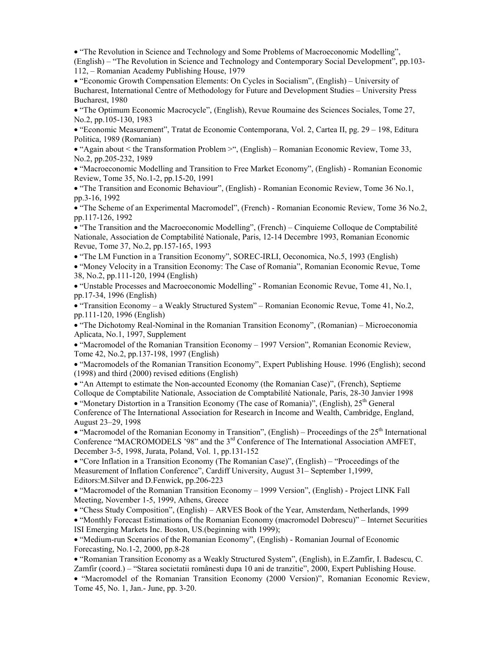• "The Revolution in Science and Technology and Some Problems of Macroeconomic Modelling", (English) – "The Revolution in Science and Technology and Contemporary Social Development", pp.103- 112, – Romanian Academy Publishing House, 1979

• "Economic Growth Compensation Elements: On Cycles in Socialism", (English) – University of Bucharest, International Centre of Methodology for Future and Development Studies – University Press Bucharest, 1980

• "The Optimum Economic Macrocycle", (English), Revue Roumaine des Sciences Sociales, Tome 27, No.2, pp.105-130, 1983

• "Economic Measurement", Tratat de Economie Contemporana, Vol. 2, Cartea II, pg. 29 – 198, Editura Politica, 1989 (Romanian)

• "Again about < the Transformation Problem >", (English) – Romanian Economic Review, Tome 33, No.2, pp.205-232, 1989

• "Macroeconomic Modelling and Transition to Free Market Economy", (English) - Romanian Economic Review, Tome 35, No.1-2, pp.15-20, 1991

• "The Transition and Economic Behaviour", (English) - Romanian Economic Review, Tome 36 No.1, pp.3-16, 1992

• "The Scheme of an Experimental Macromodel", (French) - Romanian Economic Review, Tome 36 No.2, pp.117-126, 1992

• "The Transition and the Macroeconomic Modelling", (French) – Cinquieme Colloque de Comptabilité Nationale, Association de Comptabilité Nationale, Paris, 12-14 Decembre 1993, Romanian Economic Revue, Tome 37, No.2, pp.157-165, 1993

• "The LM Function in a Transition Economy", SOREC-IRLI, Oeconomica, No.5, 1993 (English)

• "Money Velocity in a Transition Economy: The Case of Romania", Romanian Economic Revue, Tome 38, No.2, pp.111-120, 1994 (English)

• "Unstable Processes and Macroeconomic Modelling" - Romanian Economic Revue, Tome 41, No.1, pp.17-34, 1996 (English)

• "Transition Economy – a Weakly Structured System" – Romanian Economic Revue, Tome 41, No.2, pp.111-120, 1996 (English)

• "The Dichotomy Real-Nominal in the Romanian Transition Economy", (Romanian) – Microeconomia Aplicata, No.1, 1997, Supplement

• "Macromodel of the Romanian Transition Economy – 1997 Version", Romanian Economic Review, Tome 42, No.2, pp.137-198, 1997 (English)

• "Macromodels of the Romanian Transition Economy", Expert Publishing House. 1996 (English); second (1998) and third (2000) revised editions (English)

• "An Attempt to estimate the Non-accounted Economy (the Romanian Case)", (French), Septieme Colloque de Comptabilite Nationale, Association de Comptabilité Nationale, Paris, 28-30 Janvier 1998

• "Monetary Distortion in a Transition Economy (The case of Romania)", (English),  $25<sup>th</sup>$  General Conference of The International Association for Research in Income and Wealth, Cambridge, England, August 23–29, 1998

• "Macromodel of the Romanian Economy in Transition", (English) – Proceedings of the  $25<sup>th</sup>$  International Conference "MACROMODELS '98" and the 3<sup>rd</sup> Conference of The International Association AMFET, December 3-5, 1998, Jurata, Poland, Vol. 1, pp.131-152

• "Core Inflation in a Transition Economy (The Romanian Case)", (English) – "Proceedings of the Measurement of Inflation Conference", Cardiff University, August 31– September 1,1999, Editors:M.Silver and D.Fenwick, pp.206-223

• "Macromodel of the Romanian Transition Economy – 1999 Version", (English) - Project LINK Fall Meeting, November 1-5, 1999, Athens, Greece

• "Chess Study Composition", (English) – ARVES Book of the Year, Amsterdam, Netherlands, 1999

• "Monthly Forecast Estimations of the Romanian Economy (macromodel Dobrescu)" – Internet Securities ISI Emerging Markets Inc. Boston, US.(beginning with 1999);

• "Medium-run Scenarios of the Romanian Economy", (English) - Romanian Journal of Economic Forecasting, No.1-2, 2000, pp.8-28

• "Romanian Transition Economy as a Weakly Structured System", (English), in E.Zamfir, I. Badescu, C. Zamfir (coord.) – "Starea societatii românesti dupa 10 ani de tranzitie", 2000, Expert Publishing House.

• "Macromodel of the Romanian Transition Economy (2000 Version)", Romanian Economic Review, Tome 45, No. 1, Jan.- June, pp. 3-20.